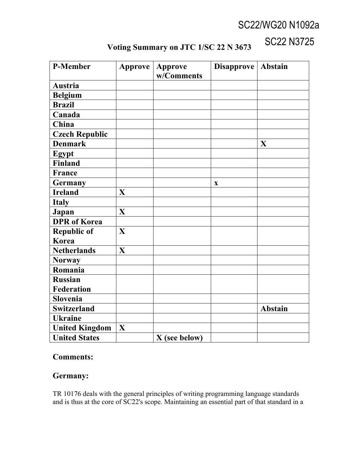# SC22/WG20 N1092a

SC22 N3725

| P-Member              | Approve     | <b>Approve</b> | Disapprove   Abstain |                |
|-----------------------|-------------|----------------|----------------------|----------------|
|                       |             | w/Comments     |                      |                |
| Austria               |             |                |                      |                |
| <b>Belgium</b>        |             |                |                      |                |
| <b>Brazil</b>         |             |                |                      |                |
| Canada                |             |                |                      |                |
| China                 |             |                |                      |                |
| <b>Czech Republic</b> |             |                |                      |                |
| <b>Denmark</b>        |             |                |                      | X              |
| Egypt                 |             |                |                      |                |
| Finland               |             |                |                      |                |
| France                |             |                |                      |                |
| <b>Germany</b>        |             |                | $\mathbf X$          |                |
| <b>Ireland</b>        | $\mathbf X$ |                |                      |                |
| <b>Italy</b>          |             |                |                      |                |
| Japan                 | X           |                |                      |                |
| <b>DPR</b> of Korea   |             |                |                      |                |
| <b>Republic of</b>    | X           |                |                      |                |
| Korea                 |             |                |                      |                |
| <b>Netherlands</b>    | $\mathbf X$ |                |                      |                |
| <b>Norway</b>         |             |                |                      |                |
| Romania               |             |                |                      |                |
| <b>Russian</b>        |             |                |                      |                |
| <b>Federation</b>     |             |                |                      |                |
| Slovenia              |             |                |                      |                |
| <b>Switzerland</b>    |             |                |                      | <b>Abstain</b> |
| <b>Ukraine</b>        |             |                |                      |                |
| <b>United Kingdom</b> | X           |                |                      |                |
| <b>United States</b>  |             | X (see below)  |                      |                |

## **Voting Summary on JTC 1/SC 22 N 3673**

#### **Comments:**

### **Germany:**

TR 10176 deals with the general principles of writing programming language standards and is thus at the core of SC22's scope. Maintaining an essential part of that standard in a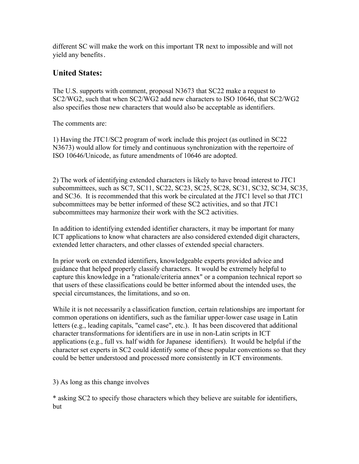different SC will make the work on this important TR next to impossible and will not yield any benefits.

#### **United States:**

The U.S. supports with comment, proposal N3673 that SC22 make a request to SC2/WG2, such that when SC2/WG2 add new characters to ISO 10646, that SC2/WG2 also specifies those new characters that would also be acceptable as identifiers.

The comments are:

1) Having the JTC1/SC2 program of work include this project (as outlined in SC22 N3673) would allow for timely and continuous synchronization with the repertoire of ISO 10646/Unicode, as future amendments of 10646 are adopted.

2) The work of identifying extended characters is likely to have broad interest to JTC1 subcommittees, such as SC7, SC11, SC22, SC23, SC25, SC28, SC31, SC32, SC34, SC35, and SC36. It is recommended that this work be circulated at the JTC1 level so that JTC1 subcommittees may be better informed of these SC2 activities, and so that JTC1 subcommittees may harmonize their work with the SC2 activities.

In addition to identifying extended identifier characters, it may be important for many ICT applications to know what characters are also considered extended digit characters, extended letter characters, and other classes of extended special characters.

In prior work on extended identifiers, knowledgeable experts provided advice and guidance that helped properly classify characters. It would be extremely helpful to capture this knowledge in a "rationale/criteria annex" or a companion technical report so that users of these classifications could be better informed about the intended uses, the special circumstances, the limitations, and so on.

While it is not necessarily a classification function, certain relationships are important for common operations on identifiers, such as the familiar upper-lower case usage in Latin letters (e.g., leading capitals, "camel case", etc.). It has been discovered that additional character transformations for identifiers are in use in non-Latin scripts in ICT applications (e.g., full vs. half width for Japanese identifiers). It would be helpful if the character set experts in SC2 could identify some of these popular conventions so that they could be better understood and processed more consistently in ICT environments.

3) As long as this change involves

\* asking SC2 to specify those characters which they believe are suitable for identifiers, but